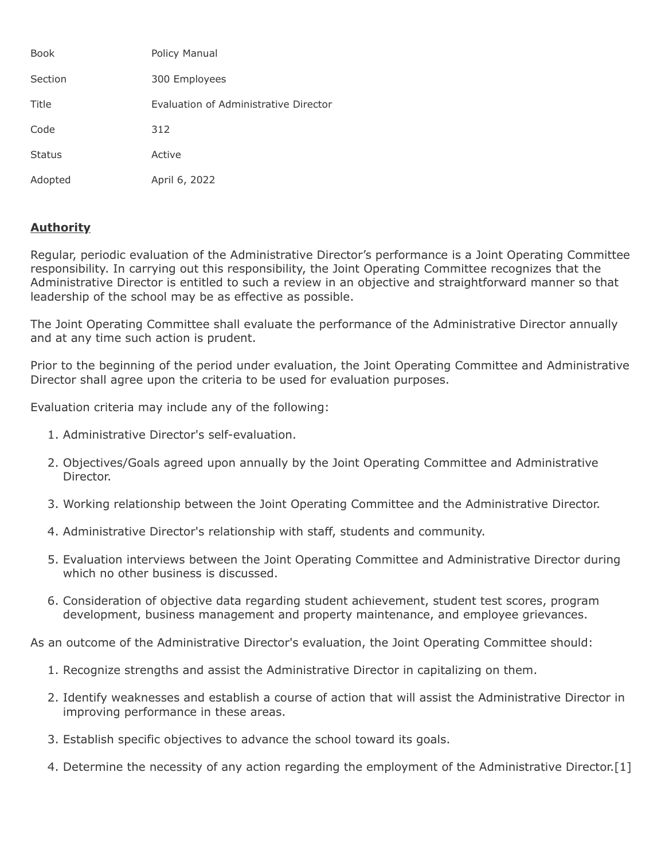| <b>Book</b>   | Policy Manual                         |
|---------------|---------------------------------------|
| Section       | 300 Employees                         |
| Title         | Evaluation of Administrative Director |
| Code          | 312                                   |
| <b>Status</b> | Active                                |
| Adopted       | April 6, 2022                         |

## **Authority**

Regular, periodic evaluation of the Administrative Director's performance is a Joint Operating Committee responsibility. In carrying out this responsibility, the Joint Operating Committee recognizes that the Administrative Director is entitled to such a review in an objective and straightforward manner so that leadership of the school may be as effective as possible.

The Joint Operating Committee shall evaluate the performance of the Administrative Director annually and at any time such action is prudent.

Prior to the beginning of the period under evaluation, the Joint Operating Committee and Administrative Director shall agree upon the criteria to be used for evaluation purposes.

Evaluation criteria may include any of the following:

- 1. Administrative Director's self-evaluation.
- 2. Objectives/Goals agreed upon annually by the Joint Operating Committee and Administrative **Director**
- 3. Working relationship between the Joint Operating Committee and the Administrative Director.
- 4. Administrative Director's relationship with staff, students and community.
- 5. Evaluation interviews between the Joint Operating Committee and Administrative Director during which no other business is discussed.
- 6. Consideration of objective data regarding student achievement, student test scores, program development, business management and property maintenance, and employee grievances.

As an outcome of the Administrative Director's evaluation, the Joint Operating Committee should:

- 1. Recognize strengths and assist the Administrative Director in capitalizing on them.
- 2. Identify weaknesses and establish a course of action that will assist the Administrative Director in improving performance in these areas.
- 3. Establish specific objectives to advance the school toward its goals.
- 4. Determine the necessity of any action regarding the employment of the Administrative Director.[1]